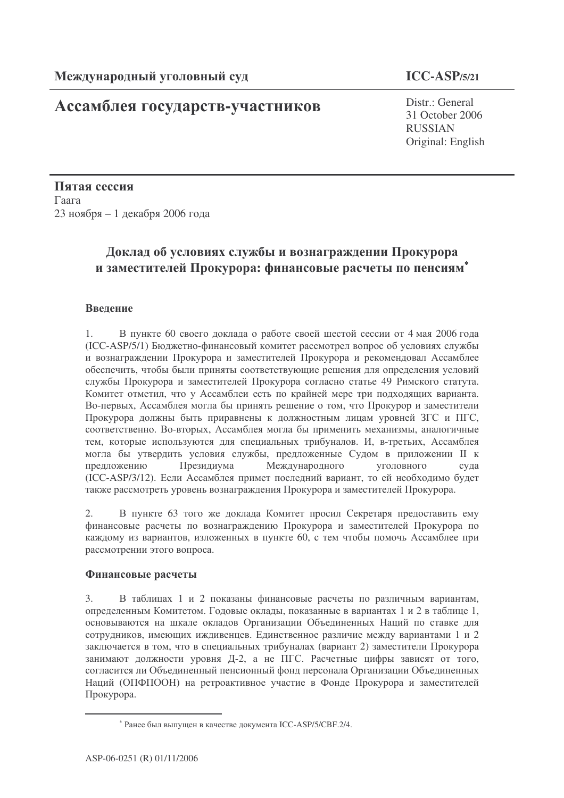## Ассамблея государств-участников

# $ICC-ASP/5/21$

Distr.: General 31 October 2006 **RUSSIAN** Original: English

Пятая сессия Гаага 23 ноября – 1 декабря 2006 года

## Доклад об условиях службы и вознаграждении Прокурора и заместителей Прокурора: финансовые расчеты по пенсиям\*

#### Ввеление

 $1_{-}$ В пункте 60 своего доклада о работе своей шестой сессии от 4 мая 2006 года (ICC-ASP/5/1) Бюджетно-финансовый комитет рассмотрел вопрос об условиях службы и вознаграждении Прокурора и заместителей Прокурора и рекомендовал Ассамблее обеспечить, чтобы были приняты соответствующие решения для определения условий службы Прокурора и заместителей Прокурора согласно статье 49 Римского статута. Комитет отметил, что у Ассамблеи есть по крайней мере три подходящих варианта. Во-первых, Ассамблея могла бы принять решение о том, что Прокурор и заместители Прокурора должны быть приравнены к должностным лицам уровней ЗГС и ПГС, соответственно. Во-вторых, Ассамблея могла бы применить механизмы, аналогичные тем, которые используются для специальных трибуналов. И. в-третьих, Ассамблея могла бы утвердить условия службы, предложенные Судом в приложении II к прелложению Презилиума Международного **VTOJIOBHOTO** сула (ICC-ASP/3/12). Если Ассамблея примет последний вариант, то ей необходимо будет также рассмотреть уровень вознаграждения Прокурора и заместителей Прокурора.

В пункте 63 того же доклада Комитет просил Секретаря предоставить ему  $2.$ финансовые расчеты по вознаграждению Прокурора и заместителей Прокурора по кажлому из вариантов, изложенных в пункте 60, с тем чтобы помочь Ассамблее при рассмотрении этого вопроса.

#### Финансовые расчеты

 $3.$ В таблицах 1 и 2 показаны финансовые расчеты по различным вариантам, определенным Комитетом. Годовые оклады, показанные в вариантах 1 и 2 в таблице 1, основываются на шкале окладов Организации Объединенных Наций по ставке для сотрудников, имеющих иждивенцев. Единственное различие между вариантами 1 и 2 заключается в том, что в специальных трибуналах (вариант 2) заместители Прокурора занимают должности уровня Д-2, а не ПГС. Расчетные цифры зависят от того, согласится ли Объелиненный пенсионный фонд персонала Организации Объелиненных Наций (ОПФПООН) на ретроактивное участие в Фонде Прокурора и заместителей Прокурора.

<sup>\*</sup> Ранее был выпущен в качестве документа ICC-ASP/5/CBF.2/4.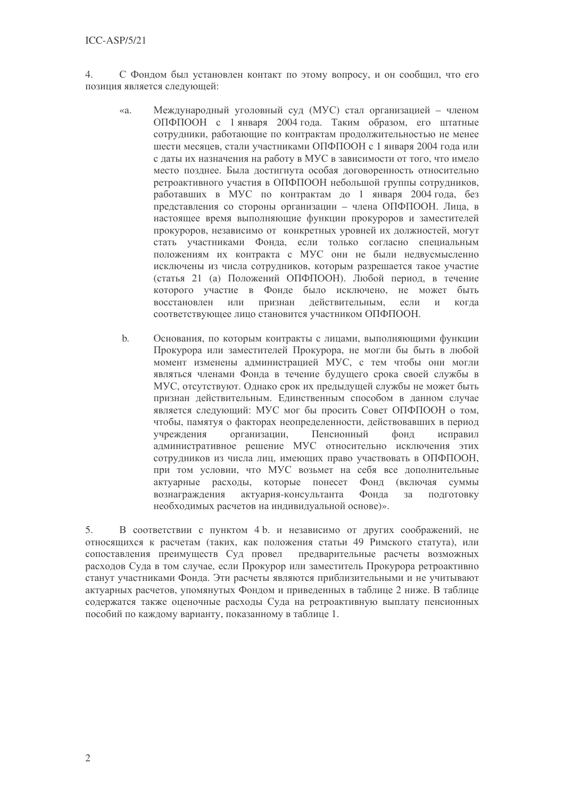$4.$ С Фондом был установлен контакт по этому вопросу, и он сообщил, что его позиция является следующей:

- Международный уголовный суд (МУС) стал организацией членом  $\alpha$ a ОПФПООН с 1 января 2004 года. Таким образом, его штатные сотрудники, работающие по контрактам продолжительностью не менее шести месяцев, стали участниками ОПФПООН с 1 января 2004 года или с даты их назначения на работу в МУС в зависимости от того, что имело место позднее. Была достигнута особая договоренность относительно ретроактивного участия в ОПФПООН небольшой группы сотрудников, работавших в МУС по контрактам до 1 января 2004 года, без представления со стороны организации - члена ОПФПООН. Лица, в настоящее время выполняющие функции прокуроров и заместителей прокуроров, независимо от конкретных уровней их должностей, могут стать участниками Фонда, если только согласно специальным положениям их контракта с МУС они не были недвусмысленно исключены из числа сотрудников, которым разрешается такое участие (статья 21 (а) Положений ОПФПООН). Любой период, в течение которого участие в Фонде было исключено, не может быть восстановлен или признан действительным,  $\overline{M}$ если когда соответствующее лицо становится участником ОПФПООН.
- $<sub>b</sub>$ </sub> Основания, по которым контракты с лицами, выполняющими функции Прокурора или заместителей Прокурора, не могли бы быть в любой момент изменены администрацией МУС, с тем чтобы они могли являться членами Фонда в течение будущего срока своей службы в МУС, отсутствуют. Однако срок их предыдущей службы не может быть признан действительным. Единственным способом в данном случае является следующий: МУС мог бы просить Совет ОПФПООН о том, чтобы, памятуя о факторах неопределенности, действовавших в период учреждения организации. Пенсионный фонд исправил административное решение МУС относительно исключения этих сотрудников из числа лиц, имеющих право участвовать в ОПФПООН, при том условии, что МУС возьмет на себя все дополнительные актуарные расходы, которые понесет Фонд (включая суммы вознаграждения актуария-консультанта Фонла  $3a$ подготовку необходимых расчетов на индивидуальной основе)».

В соответствии с пунктом 4 b. и независимо от других соображений, не 5. относящихся к расчетам (таких, как положения статьи 49 Римского статута), или сопоставления преимуществ Суд провел предварительные расчеты возможных расходов Суда в том случае, если Прокурор или заместитель Прокурора ретроактивно станут участниками Фонда. Эти расчеты являются приблизительными и не учитывают актуарных расчетов, упомянутых Фондом и приведенных в таблице 2 ниже. В таблице содержатся также оценочные расходы Суда на ретроактивную выплату пенсионных пособий по каждому варианту, показанному в таблице 1.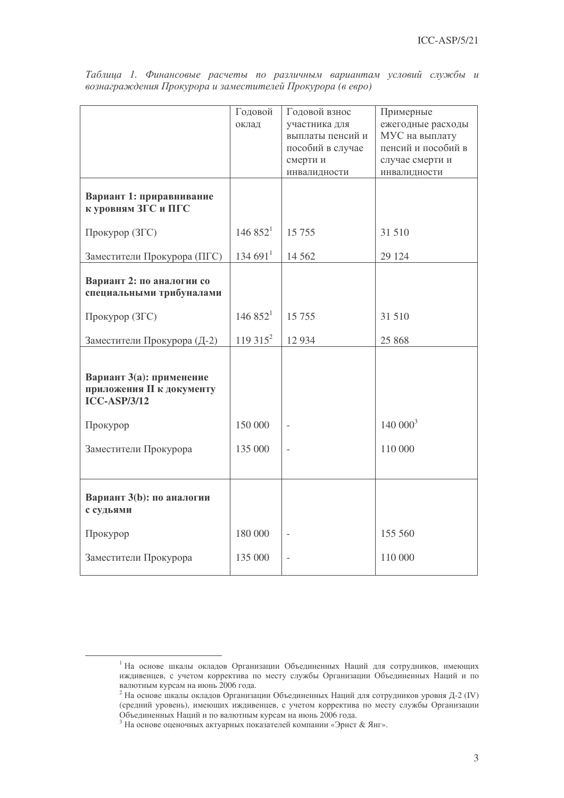|                                                                              | Годовой              | Годовой взнос            | Примерные                       |  |
|------------------------------------------------------------------------------|----------------------|--------------------------|---------------------------------|--|
|                                                                              | оклад                | участника для            | ежегодные расходы               |  |
|                                                                              |                      | выплаты пенсий и         | МУС на выплату                  |  |
|                                                                              |                      | пособий в случае         | пенсий и пособий в              |  |
|                                                                              |                      | смерти и<br>инвалидности | случае смерти и<br>инвалидности |  |
|                                                                              |                      |                          |                                 |  |
| Вариант 1: приравнивание<br>к уровням ЗГС и ПГС                              |                      |                          |                                 |  |
| Прокурор (ЗГС)                                                               | 146.852 <sup>1</sup> | 15 7 55                  | 31 510                          |  |
| Заместители Прокурора (ПГС)                                                  | 134691 <sup>1</sup>  | 14 5 6 2                 | 29 124                          |  |
| Вариант 2: по аналогии со<br>специальными трибуналами                        |                      |                          |                                 |  |
| Прокурор (ЗГС)                                                               | 146852 <sup>1</sup>  | 15 755                   | 31 510                          |  |
| Заместители Прокурора (Д-2)                                                  | $119315^2$           | 12 9 34                  | 25 868                          |  |
| Вариант 3(а): применение<br>приложения II к документу<br><b>ICC-ASP/3/12</b> |                      |                          |                                 |  |
| Прокурор                                                                     | 150 000              |                          | 140000 <sup>3</sup>             |  |
| Заместители Прокурора                                                        | 135 000              |                          | 110 000                         |  |
| Вариант 3(b): по аналогии<br>с судьями                                       |                      |                          |                                 |  |
| Прокурор                                                                     | 180 000              | $\overline{a}$           | 155 560                         |  |
| Заместители Прокурора                                                        | 135 000              |                          | 110 000                         |  |

Таблица 1. Финансовые расчеты по различным вариантам условий службы и вознаграждения Прокурора и заместителей Прокурора (в евро)

<sup>&</sup>lt;sup>1</sup> На основе шкалы окладов Организации Объединенных Наций для сотрудников, имеющих иждивенцев, с учетом корректива по месту службы Организации Объединенных Наций и по валютным курсам на июнь 2006 года.

 $^2$  На основе шкалы окладов Организации Объединенных Наций для сотрудников уровня Д-2 (IV) (средний уровень), имеющих иждивенцев, с учетом корректива по месту службы Организации Объединенных Наций и по валютным курсам на июнь 2006 года.

 $^3$  На основе оценочных актуарных показателей компании «Эрнст & Янг».